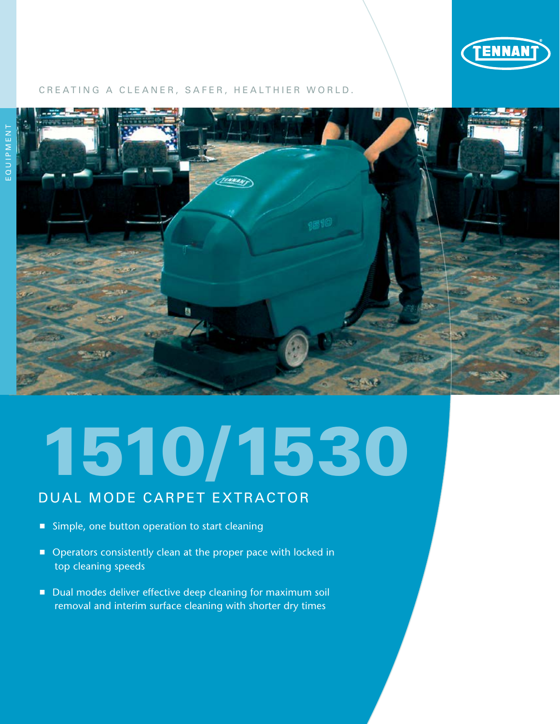

# CREATING A CLEANER, SAFER, HEALTHIER WORLD.



# 1510/1530

# DUAL MODE CARPET EXTRACTOR

- Simple, one button operation to start cleaning
- Operators consistently clean at the proper pace with locked in top cleaning speeds
- Dual modes deliver effective deep cleaning for maximum soil removal and interim surface cleaning with shorter dry times